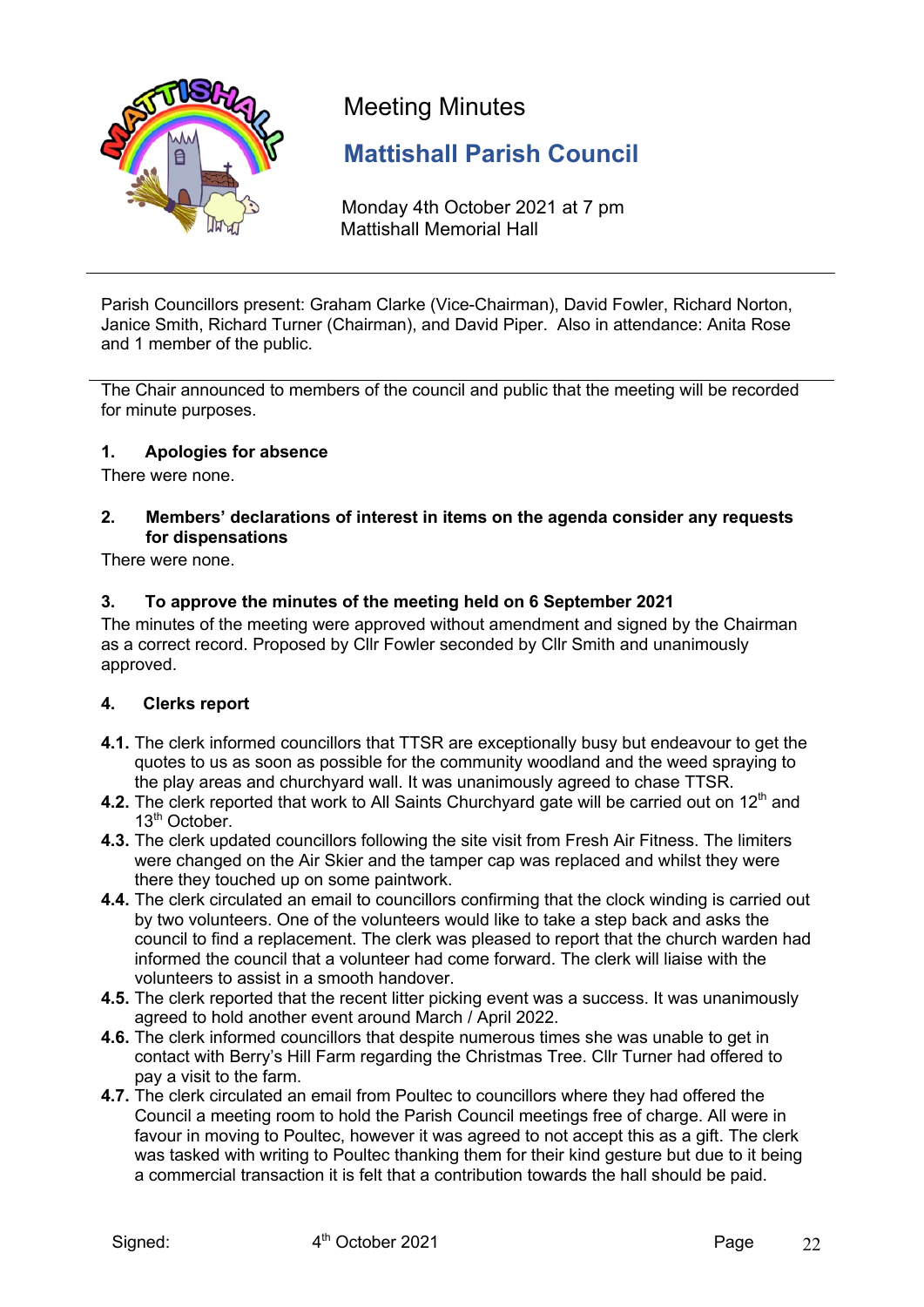

# Meeting Minutes

## **Mattishall Parish Council**

Monday 4th October 2021 at 7 pm Mattishall Memorial Hall

Parish Councillors present: Graham Clarke (Vice-Chairman), David Fowler, Richard Norton, Janice Smith, Richard Turner (Chairman), and David Piper. Also in attendance: Anita Rose and 1 member of the public.

The Chair announced to members of the council and public that the meeting will be recorded for minute purposes.

## **1. Apologies for absence**

There were none.

#### **2. Members' declarations of interest in items on the agenda consider any requests for dispensations**

There were none.

## **3. To approve the minutes of the meeting held on 6 September 2021**

The minutes of the meeting were approved without amendment and signed by the Chairman as a correct record. Proposed by Cllr Fowler seconded by Cllr Smith and unanimously approved.

## **4. Clerks report**

- **4.1.** The clerk informed councillors that TTSR are exceptionally busy but endeavour to get the quotes to us as soon as possible for the community woodland and the weed spraying to the play areas and churchyard wall. It was unanimously agreed to chase TTSR.
- **4.2.** The clerk reported that work to All Saints Churchyard gate will be carried out on 12<sup>th</sup> and 13<sup>th</sup> October.
- **4.3.** The clerk updated councillors following the site visit from Fresh Air Fitness. The limiters were changed on the Air Skier and the tamper cap was replaced and whilst they were there they touched up on some paintwork.
- **4.4.** The clerk circulated an email to councillors confirming that the clock winding is carried out by two volunteers. One of the volunteers would like to take a step back and asks the council to find a replacement. The clerk was pleased to report that the church warden had informed the council that a volunteer had come forward. The clerk will liaise with the volunteers to assist in a smooth handover.
- **4.5.** The clerk reported that the recent litter picking event was a success. It was unanimously agreed to hold another event around March / April 2022.
- **4.6.** The clerk informed councillors that despite numerous times she was unable to get in contact with Berry's Hill Farm regarding the Christmas Tree. Cllr Turner had offered to pay a visit to the farm.
- **4.7.** The clerk circulated an email from Poultec to councillors where they had offered the Council a meeting room to hold the Parish Council meetings free of charge. All were in favour in moving to Poultec, however it was agreed to not accept this as a gift. The clerk was tasked with writing to Poultec thanking them for their kind gesture but due to it being a commercial transaction it is felt that a contribution towards the hall should be paid.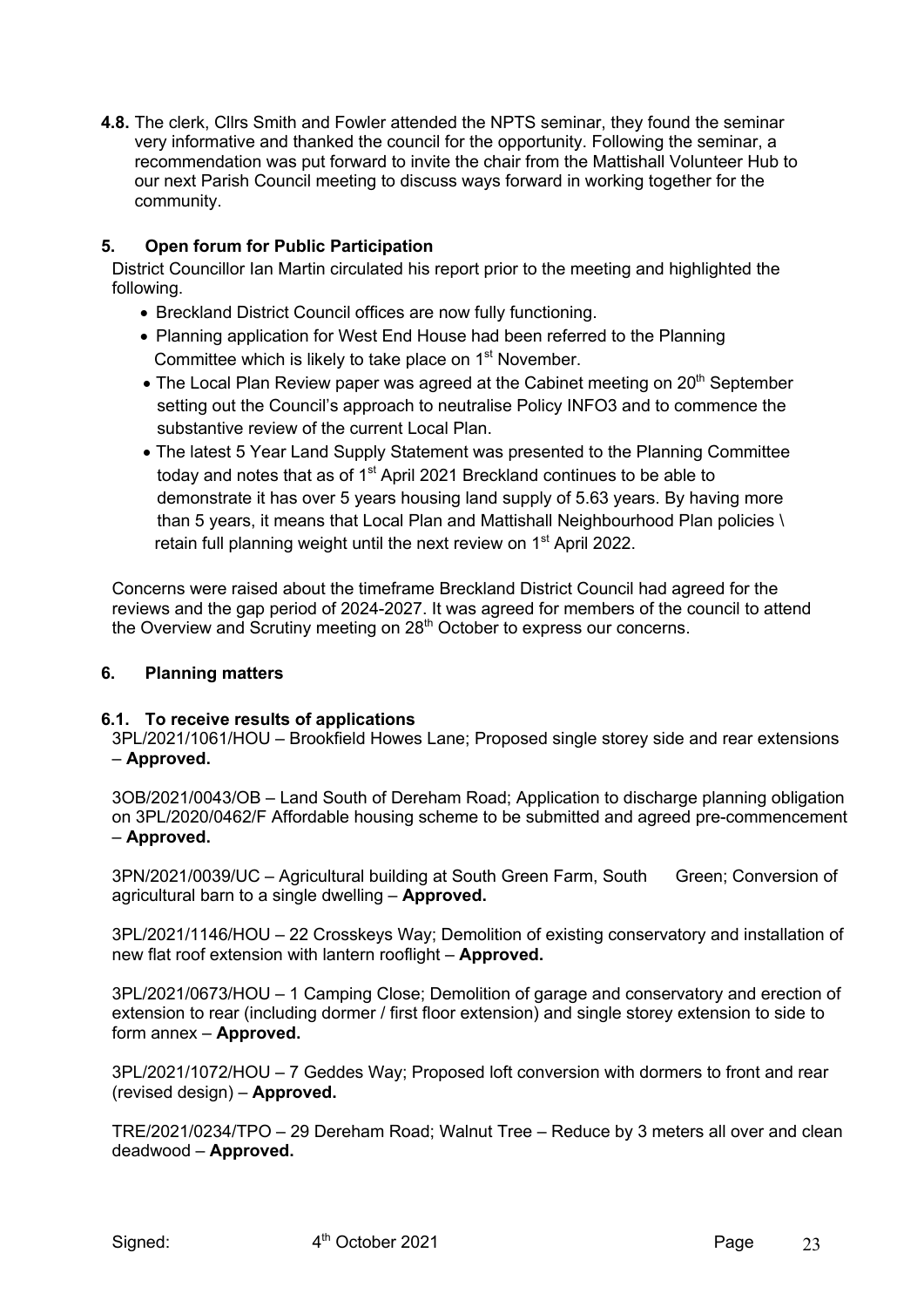**4.8.** The clerk, Cllrs Smith and Fowler attended the NPTS seminar, they found the seminar very informative and thanked the council for the opportunity. Following the seminar, a recommendation was put forward to invite the chair from the Mattishall Volunteer Hub to our next Parish Council meeting to discuss ways forward in working together for the community.

## **5. Open forum for Public Participation**

District Councillor Ian Martin circulated his report prior to the meeting and highlighted the following.

- Breckland District Council offices are now fully functioning.
- Planning application for West End House had been referred to the Planning Committee which is likely to take place on 1<sup>st</sup> November.
- The Local Plan Review paper was agreed at the Cabinet meeting on  $20<sup>th</sup>$  September setting out the Council's approach to neutralise Policy INFO3 and to commence the substantive review of the current Local Plan.
- The latest 5 Year Land Supply Statement was presented to the Planning Committee today and notes that as of 1<sup>st</sup> April 2021 Breckland continues to be able to demonstrate it has over 5 years housing land supply of 5.63 years. By having more than 5 years, it means that Local Plan and Mattishall Neighbourhood Plan policies \ retain full planning weight until the next review on 1<sup>st</sup> April 2022.

Concerns were raised about the timeframe Breckland District Council had agreed for the reviews and the gap period of 2024-2027. It was agreed for members of the council to attend the Overview and Scrutiny meeting on 28<sup>th</sup> October to express our concerns.

#### **6. Planning matters**

## **6.1. To receive results of applications**

3PL/2021/1061/HOU – Brookfield Howes Lane; Proposed single storey side and rear extensions – **Approved.**

3OB/2021/0043/OB – Land South of Dereham Road; Application to discharge planning obligation on 3PL/2020/0462/F Affordable housing scheme to be submitted and agreed pre-commencement – **Approved.**

3PN/2021/0039/UC – Agricultural building at South Green Farm, South Green; Conversion of agricultural barn to a single dwelling – **Approved.**

3PL/2021/1146/HOU – 22 Crosskeys Way; Demolition of existing conservatory and installation of new flat roof extension with lantern rooflight – **Approved.**

3PL/2021/0673/HOU – 1 Camping Close; Demolition of garage and conservatory and erection of extension to rear (including dormer / first floor extension) and single storey extension to side to form annex – **Approved.**

3PL/2021/1072/HOU – 7 Geddes Way; Proposed loft conversion with dormers to front and rear (revised design) – **Approved.**

TRE/2021/0234/TPO – 29 Dereham Road; Walnut Tree – Reduce by 3 meters all over and clean deadwood – **Approved.**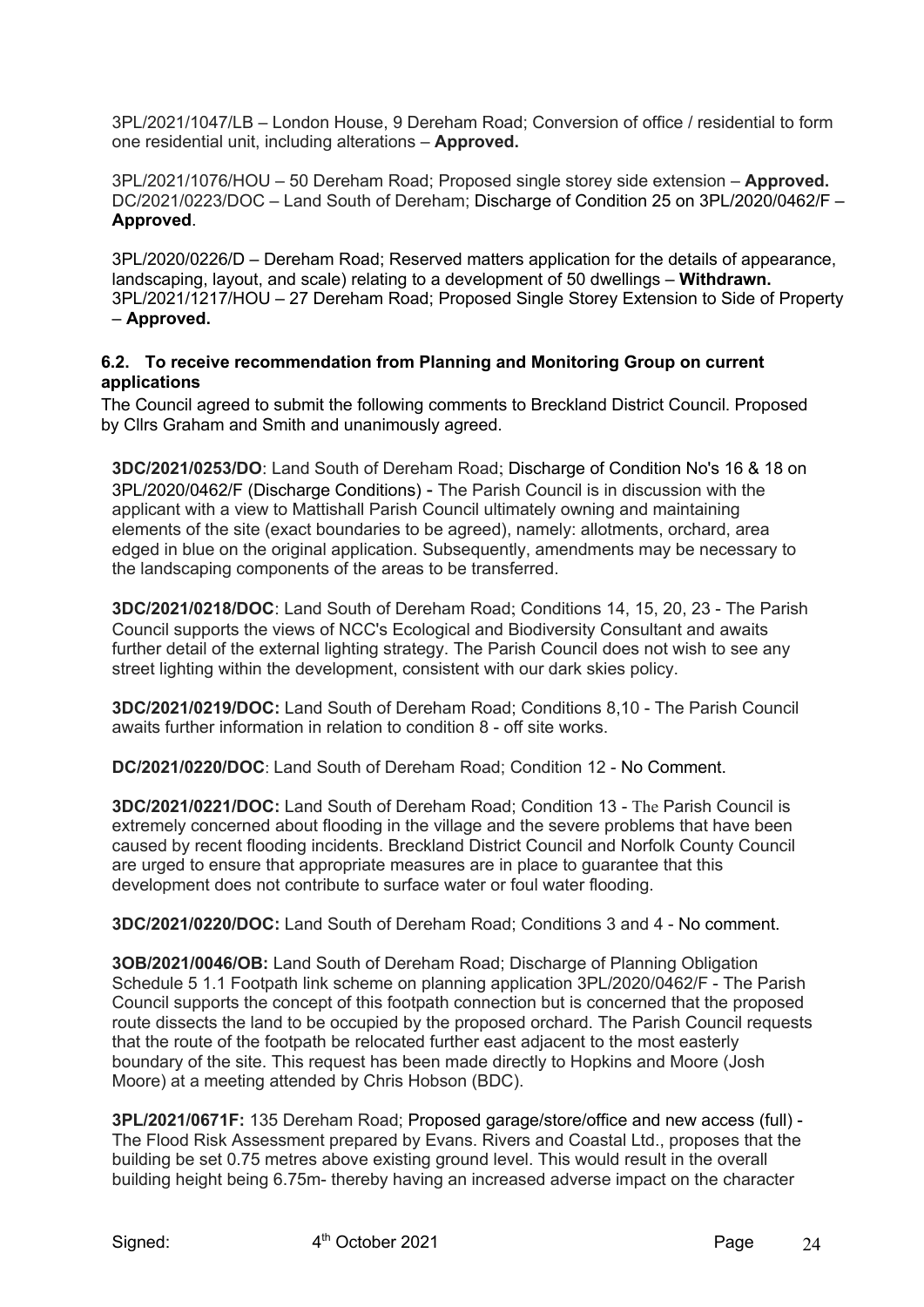3PL/2021/1047/LB – London House, 9 Dereham Road; Conversion of office / residential to form one residential unit, including alterations – **Approved.**

3PL/2021/1076/HOU – 50 Dereham Road; Proposed single storey side extension – **Approved.** DC/2021/0223/DOC – Land South of Dereham; Discharge of Condition 25 on 3PL/2020/0462/F – **Approved**.

3PL/2020/0226/D – Dereham Road; Reserved matters application for the details of appearance, landscaping, layout, and scale) relating to a development of 50 dwellings – **Withdrawn.** 3PL/2021/1217/HOU – 27 Dereham Road; Proposed Single Storey Extension to Side of Property – **Approved.**

#### **6.2. To receive recommendation from Planning and Monitoring Group on current applications**

The Council agreed to submit the following comments to Breckland District Council. Proposed by Cllrs Graham and Smith and unanimously agreed.

**3DC/2021/0253/DO**: Land South of Dereham Road; Discharge of Condition No's 16 & 18 on 3PL/2020/0462/F (Discharge Conditions) - The Parish Council is in discussion with the applicant with a view to Mattishall Parish Council ultimately owning and maintaining elements of the site (exact boundaries to be agreed), namely: allotments, orchard, area edged in blue on the original application. Subsequently, amendments may be necessary to the landscaping components of the areas to be transferred.

**3DC/2021/0218/DOC**: Land South of Dereham Road; Conditions 14, 15, 20, 23 - The Parish Council supports the views of NCC's Ecological and Biodiversity Consultant and awaits further detail of the external lighting strategy. The Parish Council does not wish to see any street lighting within the development, consistent with our dark skies policy.

**3DC/2021/0219/DOC:** Land South of Dereham Road; Conditions 8,10 - The Parish Council awaits further information in relation to condition 8 - off site works.

**DC/2021/0220/DOC**: Land South of Dereham Road; Condition 12 - No Comment.

**3DC/2021/0221/DOC:** Land South of Dereham Road; Condition 13 - The Parish Council is extremely concerned about flooding in the village and the severe problems that have been caused by recent flooding incidents. Breckland District Council and Norfolk County Council are urged to ensure that appropriate measures are in place to guarantee that this development does not contribute to surface water or foul water flooding.

**3DC/2021/0220/DOC:** Land South of Dereham Road; Conditions 3 and 4 - No comment.

**3OB/2021/0046/OB:** Land South of Dereham Road; Discharge of Planning Obligation Schedule 5 1.1 Footpath link scheme on planning application 3PL/2020/0462/F - The Parish Council supports the concept of this footpath connection but is concerned that the proposed route dissects the land to be occupied by the proposed orchard. The Parish Council requests that the route of the footpath be relocated further east adjacent to the most easterly boundary of the site. This request has been made directly to Hopkins and Moore (Josh Moore) at a meeting attended by Chris Hobson (BDC).

**3PL/2021/0671F:** 135 Dereham Road; Proposed garage/store/office and new access (full) - The Flood Risk Assessment prepared by Evans. Rivers and Coastal Ltd., proposes that the building be set 0.75 metres above existing ground level. This would result in the overall building height being 6.75m- thereby having an increased adverse impact on the character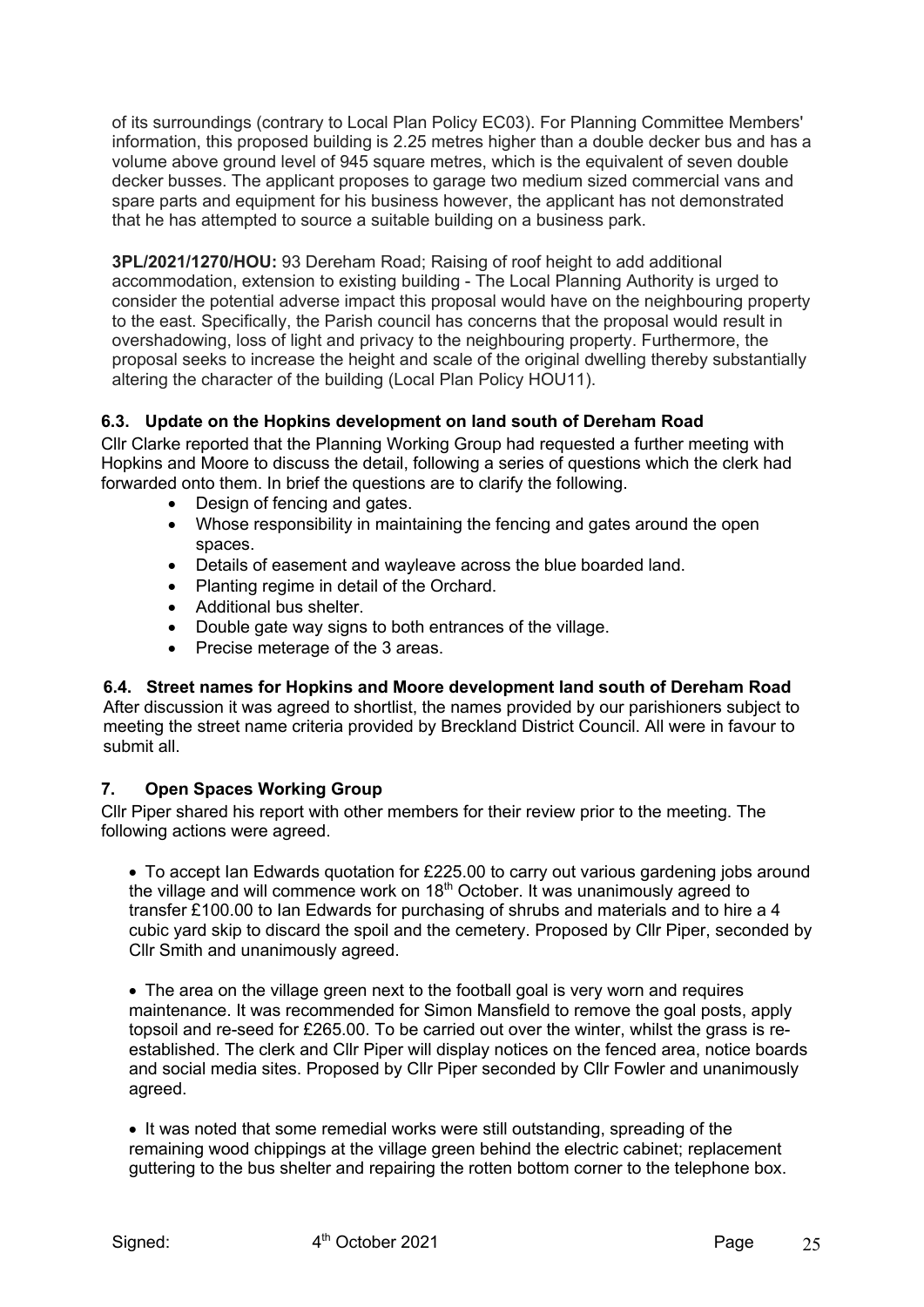of its surroundings (contrary to Local Plan Policy EC03). For Planning Committee Members' information, this proposed building is 2.25 metres higher than a double decker bus and has a volume above ground level of 945 square metres, which is the equivalent of seven double decker busses. The applicant proposes to garage two medium sized commercial vans and spare parts and equipment for his business however, the applicant has not demonstrated that he has attempted to source a suitable building on a business park.

**3PL/2021/1270/HOU:** 93 Dereham Road; Raising of roof height to add additional accommodation, extension to existing building - The Local Planning Authority is urged to consider the potential adverse impact this proposal would have on the neighbouring property to the east. Specifically, the Parish council has concerns that the proposal would result in overshadowing, loss of light and privacy to the neighbouring property. Furthermore, the proposal seeks to increase the height and scale of the original dwelling thereby substantially altering the character of the building (Local Plan Policy HOU11).

## **6.3. Update on the Hopkins development on land south of Dereham Road**

Cllr Clarke reported that the Planning Working Group had requested a further meeting with Hopkins and Moore to discuss the detail, following a series of questions which the clerk had forwarded onto them. In brief the questions are to clarify the following.

- Design of fencing and gates.
- Whose responsibility in maintaining the fencing and gates around the open spaces.
- Details of easement and wayleave across the blue boarded land.
- Planting regime in detail of the Orchard.
- Additional bus shelter.
- Double gate way signs to both entrances of the village.
- Precise meterage of the 3 areas.

#### **6.4. Street names for Hopkins and Moore development land south of Dereham Road**

After discussion it was agreed to shortlist, the names provided by our parishioners subject to meeting the street name criteria provided by Breckland District Council. All were in favour to submit all.

## **7. Open Spaces Working Group**

Cllr Piper shared his report with other members for their review prior to the meeting. The following actions were agreed.

• To accept Ian Edwards quotation for £225.00 to carry out various gardening jobs around the village and will commence work on  $18<sup>th</sup>$  October. It was unanimously agreed to transfer £100.00 to Ian Edwards for purchasing of shrubs and materials and to hire a 4 cubic yard skip to discard the spoil and the cemetery. Proposed by Cllr Piper, seconded by Cllr Smith and unanimously agreed.

• The area on the village green next to the football goal is very worn and requires maintenance. It was recommended for Simon Mansfield to remove the goal posts, apply topsoil and re-seed for £265.00. To be carried out over the winter, whilst the grass is reestablished. The clerk and Cllr Piper will display notices on the fenced area, notice boards and social media sites. Proposed by Cllr Piper seconded by Cllr Fowler and unanimously agreed.

• It was noted that some remedial works were still outstanding, spreading of the remaining wood chippings at the village green behind the electric cabinet; replacement guttering to the bus shelter and repairing the rotten bottom corner to the telephone box.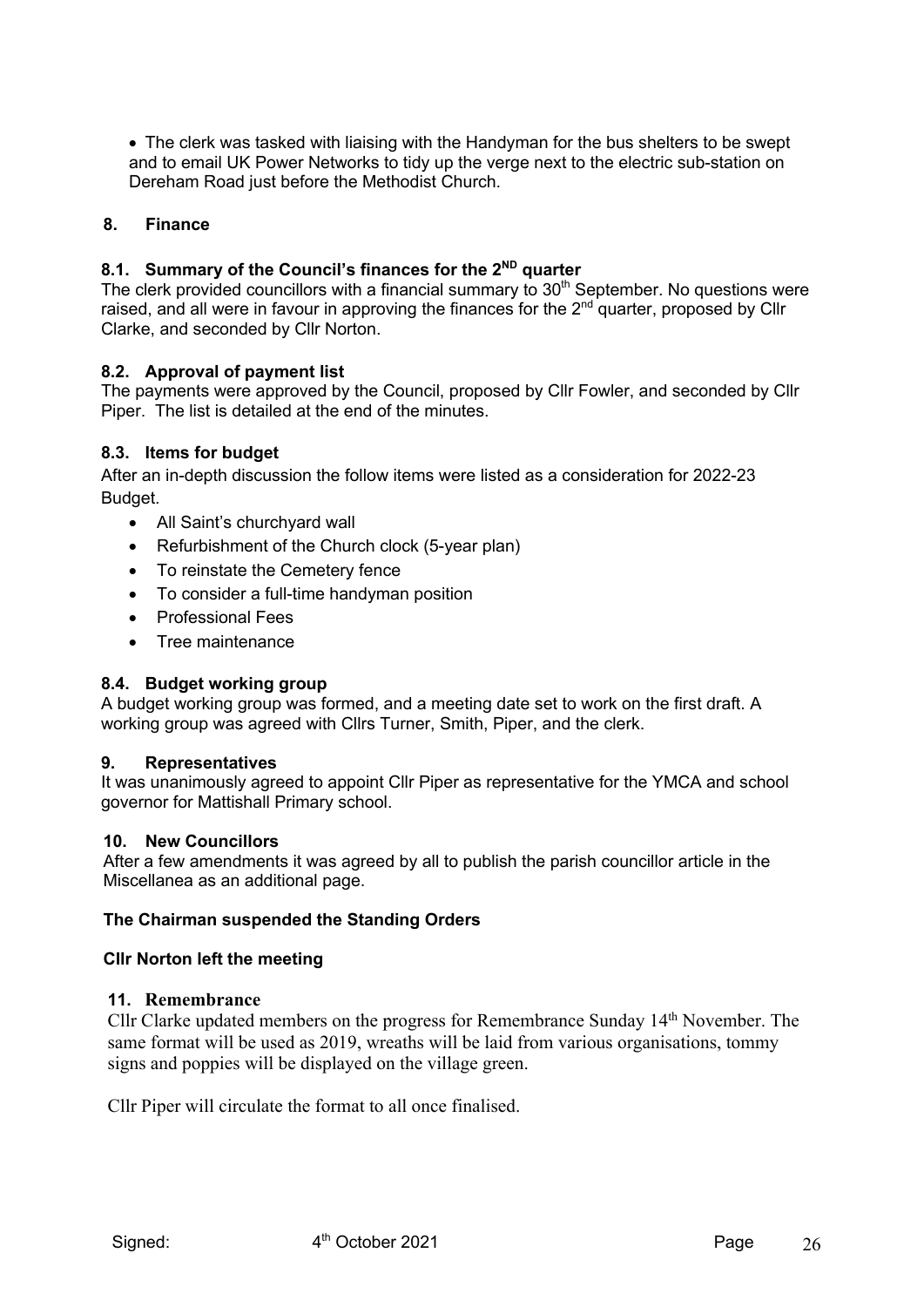• The clerk was tasked with liaising with the Handyman for the bus shelters to be swept and to email UK Power Networks to tidy up the verge next to the electric sub-station on Dereham Road just before the Methodist Church.

#### **8. Finance**

## **8.1. Summary of the Council's finances for the 2ND quarter**

The clerk provided councillors with a financial summary to  $30<sup>th</sup>$  September. No questions were raised, and all were in favour in approving the finances for the  $2<sup>nd</sup>$  quarter, proposed by Cllr Clarke, and seconded by Cllr Norton.

#### **8.2. Approval of payment list**

The payments were approved by the Council, proposed by Cllr Fowler, and seconded by Cllr Piper. The list is detailed at the end of the minutes.

## **8.3. Items for budget**

After an in-depth discussion the follow items were listed as a consideration for 2022-23 Budget.

- All Saint's churchyard wall
- Refurbishment of the Church clock (5-year plan)
- To reinstate the Cemetery fence
- To consider a full-time handyman position
- Professional Fees
- Tree maintenance

#### **8.4. Budget working group**

A budget working group was formed, and a meeting date set to work on the first draft. A working group was agreed with Cllrs Turner, Smith, Piper, and the clerk.

#### **9. Representatives**

It was unanimously agreed to appoint Cllr Piper as representative for the YMCA and school governor for Mattishall Primary school.

#### **10. New Councillors**

After a few amendments it was agreed by all to publish the parish councillor article in the Miscellanea as an additional page.

#### **The Chairman suspended the Standing Orders**

#### **Cllr Norton left the meeting**

#### **11. Remembrance**

Cllr Clarke updated members on the progress for Remembrance Sunday 14th November. The same format will be used as 2019, wreaths will be laid from various organisations, tommy signs and poppies will be displayed on the village green.

Cllr Piper will circulate the format to all once finalised.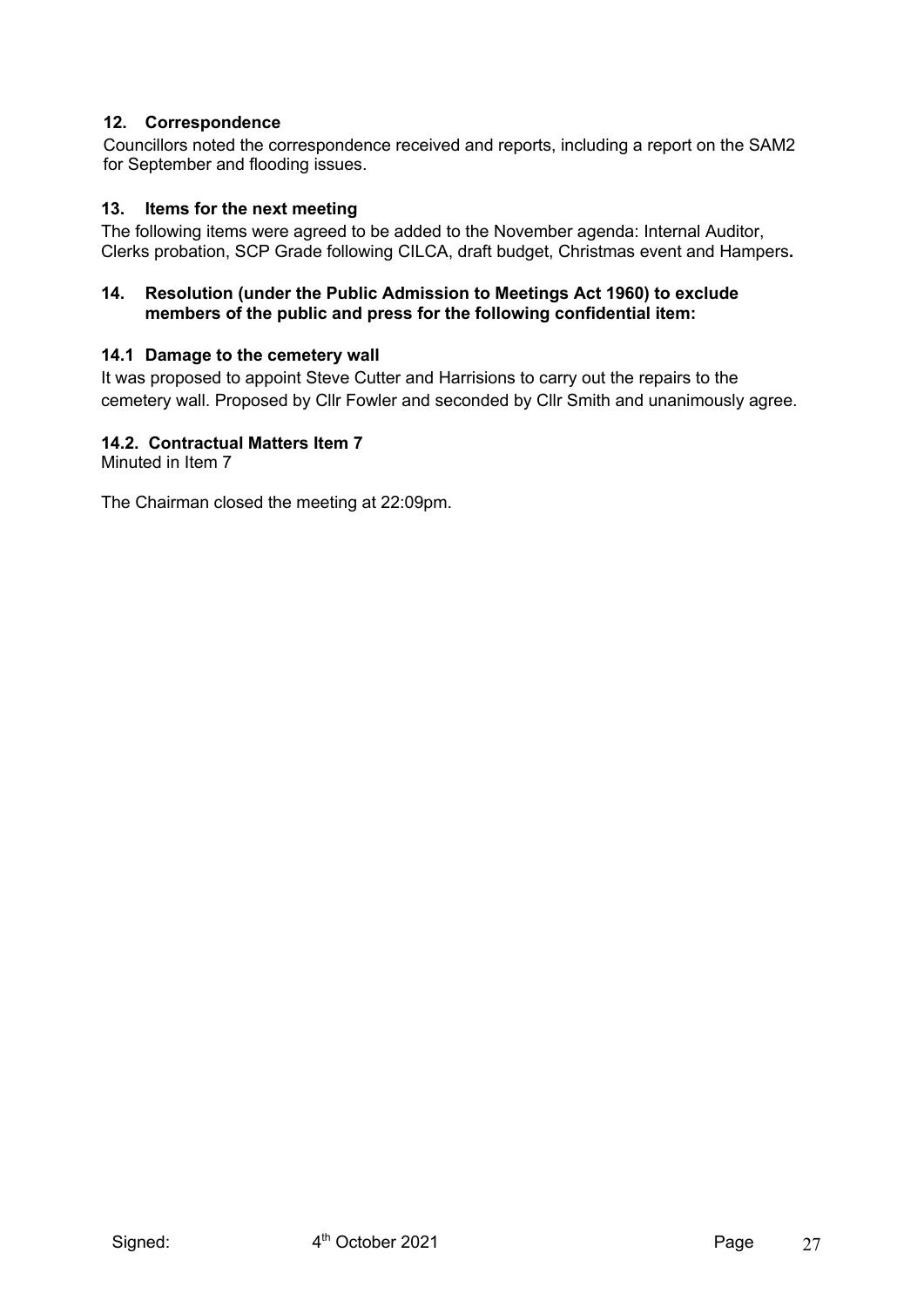## **12. Correspondence**

Councillors noted the correspondence received and reports, including a report on the SAM2 for September and flooding issues.

#### **13. Items for the next meeting**

The following items were agreed to be added to the November agenda: Internal Auditor, Clerks probation, SCP Grade following CILCA, draft budget, Christmas event and Hampers**.**

#### **14. Resolution (under the Public Admission to Meetings Act 1960) to exclude members of the public and press for the following confidential item:**

#### **14.1 Damage to the cemetery wall**

It was proposed to appoint Steve Cutter and Harrisions to carry out the repairs to the cemetery wall. Proposed by Cllr Fowler and seconded by Cllr Smith and unanimously agree.

## **14.2. Contractual Matters Item 7**

Minuted in Item 7

The Chairman closed the meeting at 22:09pm.